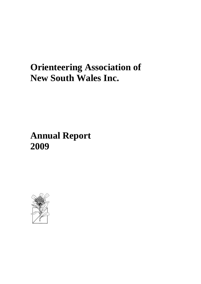# **Orienteering Association of New South Wales Inc.**

# **Annual Report 2009**

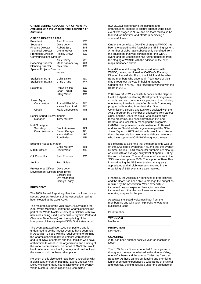## **ORIENTEERING ASSOCIATION OF NSW INC Affiliated with the Orienteering Federation of Australia**

| <b>OFFICE BEARERS 2009</b>                                                                                                                    |                                                                                          |                            |
|-----------------------------------------------------------------------------------------------------------------------------------------------|------------------------------------------------------------------------------------------|----------------------------|
| President<br>Secretary<br><b>Finance Director</b><br><b>Technical Director</b><br><b>Promotion Director</b><br><b>Communications Director</b> | Paul Prudhoe<br>Dave Lotty<br><b>Robert Spry</b><br>Glenn Meyer<br><b>Felicity Brown</b> | CС<br>UR<br>ΒN<br>SН<br>CС |
| Coaching Director<br>Planning Director<br><b>Special Projects Director</b>                                                                    | Alex Davey<br>Mark Darvodelsky<br><b>Nick Dent</b><br>vacant                             | WR<br>UR<br>СC             |
| Statistician (OY)<br>Statistician (SOS)                                                                                                       | <b>Colin Bailey</b><br><b>Chris Crane</b>                                                | ΝC<br>WH                   |
| Selectors                                                                                                                                     | Robyn Pallas<br><b>Geoff Todkill</b><br><b>Hilary Wood</b>                               | CС<br><b>NC</b><br>CC      |
| Junior Squad<br>Coordinators                                                                                                                  | Russell Blatchford<br>Karen Blatchford                                                   | ΝC<br><b>NC</b>            |
| Coach                                                                                                                                         | Mark Darvodelsky                                                                         | UR                         |
| Senior Squad (NSW Stingers)<br>Manager                                                                                                        | <b>Terry Murphy</b>                                                                      | UR                         |
| MetrO League<br>Secretary<br>Commissioners                                                                                                    | Frank Assenza<br>Simon George<br>Karin Hefftner<br>Ron Pallas                            | ΒN<br>ВF<br>GO<br>UR       |
| Belanglo House Manager                                                                                                                        |                                                                                          |                            |
| <b>MTBO Officer</b>                                                                                                                           | Chris Murphy<br>David West                                                               | UR<br>MD                   |
| <b>OA Councillor</b>                                                                                                                          | Paul Prudhoe                                                                             | CС                         |
| Auditor                                                                                                                                       | <b>Tom Nolan</b>                                                                         |                            |
| Professional Officer<br>Development Officers (Part Time)                                                                                      | Dave Lotty<br>Barbara Hill<br>Lyn Malmgron<br>Carolyn Rigby                              |                            |

# **PRESIDENT**

The 2009 Annual Report signifies the conclusion of my second year as President of the Association having been elected at the 2008 AGM.

The major focus for the year saw OANSW stage the 2009 World Masters Orienteering Championships (as part of the World Masters Games) in October with two new areas being used (Homebush – Olympic Park and Clandulla State Forest) and the updating of the Macquarie University map to ISOM Sprint standards.

The event attracted over 1200 competitors and is understood to be the largest event to have been held in Australia. To cope with the requirements of running the Championships many volunteers were needed, and to all NSW orienteers and their families who gave of their time to assist in the organisation and running of the various competitions, on behalf of OANSW I would like to offer a sincere thank you to you all. Without you the events could not have taken place.

No event of this size could have been undertaken with a significant amount of planning. Event Director Nick Dent, who spent many hours liaising with the Sydney World Masters Games Organising Committee

(SWMGOC), coordinating the planning and organisational aspects to ensure another world-class event was staged in NSW, and his team must also be thanked for their time and efforts in achieving a successful event.

One of the benefits to OANSW of staging WMOC has been the upgrading the Association's SI timing system. A number of clubs have subsequently benefitted from the equipment that was purchased for the WMOC event, and the Association has further benefited from the staging of WMOC with the addition of the new maps mentioned above.

In addition to Nick's significant contribution with WMOC, he also continued as OANSW's Planning Director. I would also like to thank Nick and the other Board members who once again freely gave of their time throughout the year in helping manage Orienteering in NSW. I look forward to working with the Board in 2010.

2009 saw OANSW successfully conclude the Dept. of Health & Aged Orienteering Development program in schools, and also commence a program of introducing orienteering into the Active After Schools Community program with funding from Australian Sports Commission. Barbara and Lyn were assisted with the AASC program by a number of orienteers from various clubs, and the Board thanks all who assisted with these programs, and especially thanks Lyn and Barbara for successfully managing the programs. OANSW' S appreciation is also extended to Russell and Karen Blatchford who again managed the NSW Junior Squad in 2009. Additionally I would also like to thank the Association delegates and those members who have supported OANSW throughout the year.

It is pleasing to also note that the membership was up on the 2008 figure by approx. 4%, and that the Sydney Summer Series (SSS) competitor numbers are also up on 2008 with an average entry level of approx. 190 by the end of the year. The total number of starters in the SSS was also up from 2008. The support of Ross Barr in coordinating the SSS event calendar is greatly appreciated and all club members involved in the organising of SSS events are also thanked.

Financially the Association continues to progress well and the Board has been able to manage the budget as required by the Association. While expenditure increased beyond expected levels, income also increased such that the result was an increased operating surplus for the year.

As always the Board welcomes input from the membership and with your help looks forward to a successful 2010.

Paul Prudhoe

\_\_\_\_\_\_\_\_\_\_\_\_\_\_\_\_\_\_\_\_\_\_\_\_\_\_\_\_\_\_\_\_\_\_\_\_\_\_\_\_\_\_ **TECHNICAL** No Report

\_\_\_\_\_\_\_\_\_\_\_\_\_\_\_\_\_\_\_\_\_\_\_\_\_\_\_\_\_\_\_\_\_\_\_\_\_\_\_\_\_\_ **PROMOTION**

No Report \_\_\_\_\_\_\_\_\_\_\_\_\_\_\_\_\_\_\_\_\_\_\_\_\_\_\_\_\_\_\_\_\_\_\_\_\_\_\_\_\_\_

# **COACHING**

2009 has been another positive year for coaching in NSW.

The NSW Junior Squad conducted 3 training camps throughout the year, one based in the Hunter Valley, one in Canberra and the annual Christmas Camp at Belanglo. At these camps our leading and promising junior orienteers experienced a wide range of physical and technical training activities under the guidance of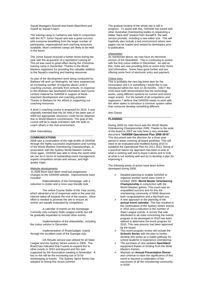Squad Managers Russell and Karen Blatchford and myself as Squad Coach.

The training camp in Canberra was held in conjunction with the ACT Junior Squad and was a great success with everyone benefitting from the larger number of participants, organisational and coaching resources available. More combined camps are likely to be held in the future.

The Junior Squad received a further boost during the year with the acquisition of a Sportident training kit. This kit was used to great effect during the Christmas training camp in December. Thanks to the World Masters organisers for providing this valuable addition to the Squad's coaching and training resources.

As part of the development work being conducted by Barbara Hill and Lyn Malmgron, we have experienced an increasing number of inquiries about Level 0 coaching courses, primarily from schools. In response to this Barbara has developed information and course content material for OANSW in support of these important development and coaching activities. Thanks to Barbara for her efforts in supporting our coaching resources.

A level 1 coaching course is proposed for 2010. It was originally intended that this be held in the latter part of 2009 but appropriate resources could not be obtained due to World Masters commitments. The goal of this course will be to equip orienteers with the skills to coach others in the club environment.

\_\_\_\_\_\_\_\_\_\_\_\_\_\_\_\_\_\_\_\_\_\_\_\_\_\_\_\_\_\_\_\_\_\_\_\_\_\_\_\_\_\_

### Mark Darvodelsky

# **COMMUNICATIONS**

2009 saw a continuation of the high profile of OANSW through the highly successful organisation and running of the World Masters Orienteering Championships, in association with the Sydney World Masters Games. Once again, OANSW was able to show the world what we can do in terms of outstanding event management, superb competition terrain and venues, and high quality maps.

### Website developments

In 2009 there have been small but progressive changes to the OANSW website. Improvements have included:

. Rationalisation of the Homepage, with a reduction in clutter and a more user-friendly look.

. The online Course Setter of the Year survey, which attracted a lot of responses early in the year but interest tailed off towards the end of the season. More effort is needed to promote the site to ensure all events are equally evaluated by competitors.

. A calendar of events on the homepage. Currently only contains State League events but will be gradually expanded to include other events.

. Implementation of the eNewsletter, including the colour version in December.

. Implementation of RouteGadget, mainly through the excellent work of the Garingal club.

. OA Results service was utilised for all State League and the Sydney Series events in 2009. The Board has indicated that it wants to expand this to other events in 2010 and beyond and this was supported by the Association meeting in November. A key to this will be the increasing use of SI for timekeeping at events. The Sydney Sprint Series has adopted SI timing this recent summer.

The gradual revamp of the whole site is still in progress. To assist with this, OANSW has joined with other Australian Orienteering bodies in requesting a better "back-end" product from SocialFX, the web service provider, including a new editor tool. This will hopefully also include a test environment where new pages can be loaded and viewed by developers prior to publication.

### eNewsletter

As mentioned above, we now have an electronic version of the Newsletter. This is continuing to evolve with the first colour edition in December. As well as this, clubs are now providing links to event entry forms and information. Some have gone further and are offering some form of electronic entry and payment.

### Online entry

This is probably the next big-ticket item for the Association and it is something I would like to see introduced within the next 12-18 months. OACT the VOA have both demonstrated that the technology works, using different systems for current and recent major events. For the benefit of all competitors and organisers, I believe that OANSW needs to work with the other states to introduce a common system rather than everyone develop something different.

\_\_\_\_\_\_\_\_\_\_\_\_\_\_\_\_\_\_\_\_\_\_\_\_\_\_\_\_\_\_\_\_\_\_\_\_\_\_\_\_\_\_

# Alex Davey

## **PLANNING**

During 2009 my main focus was the World Master Orienteering Championships 2009. Thanks to the work of the board in 2007 we now have a very workable document **"OANSW Operational Plan 2008-2010"**. This document sets the direction for a three year period in areas covering all board portfolios. This will need to be evaluated and modified during 2010 to establish the Operational Plan for 2011-2013. Being of a practical nature my approach has been to look at what is working well and to leave it alone and to look at what is not working well and try to develop a plan for improving it.

The following areas of action have been further developed during 2009.

- ➢ Detailed planning to enable OANSW to organise another world class event in October 2009- **World Master Orienteering Championship** in conjunction with the World Masters games. This event was an unqualified success and for this the orienteering community of NSW deserves both congratulations and a big thank you.
- $\triangleright$  A new approach to the planning of the **annual event calendar**. This has resulted in the continuation of the Sydney Series events in 2010 and a reduction in the number of State League events. A survey that was distributed to all clubs concerning the events program to be developed in 2010 has been utilised to determine the event program for 2010. This new process has been approved by the board.
- This event program review will include the **Schools Series** with the plan to further develop this series as a viable pathway for school students to experience orienteering.
- ➢ The purchase of new updated **SportIdent** equipment thanks to funding from the Wold Masters Games.
- ➢ Maintain an **Annual Presentation Dinner** and continue to raise the significance of this event to become a celebration of the successes of all the orienteering community in NSW.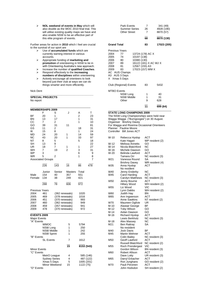➢ **NOL weekend of events in May** which will also double as the WOC 2010 final trial. This will utilise existing quality maps we have and also enable NSW to be an effective part of this elite program of events.

Further areas for action in **2010** which I feel are crucial to the survival of our sport are

- ➢ Use of **accumulated funds** which are currently earning interest in various accounts.
- ➢ Appropriate funding of **marketing and promotion** of orienteering in NSW to tie in with Orienteering Australia's new approach.
- ➢ Increase the number of **qualified Coaches**. ➢ Respond effectively to the **increasing**
- **numbers of disciplines** within orienteering. ➢ Actively encourage all orienteers to look beyond just their club at ways we can do things smarter and more efficiently.

**\_\_\_\_\_\_\_\_\_\_\_\_\_\_\_\_\_\_\_\_\_\_\_\_\_\_\_\_\_\_\_\_\_\_\_\_\_\_\_\_\_\_**

Nick Dent

**SPECIAL PROJECTS**

| No report                         |                                     |                |                |                         |          |
|-----------------------------------|-------------------------------------|----------------|----------------|-------------------------|----------|
|                                   | <b>MEMBERSHIPS 2009</b>             |                |                |                         |          |
|                                   | F                                   | S              | J              | Α                       | Т        |
| BF                                | 20                                  | 1              |                | 2                       | 23       |
| ΒN                                | 13                                  | 17             |                | 1                       | 31       |
| CС                                | 7                                   | 2              |                | 1                       | 10       |
| GO<br>GS                          | 39                                  | 31             | 11             |                         | 81       |
| ΙK                                | 11<br>15                            | 2<br>8         |                | 18<br>1                 | 31<br>24 |
| MD                                | 24                                  | 20             | 1              | 14                      | 59       |
| ΝC                                | 43                                  | 20             | 1              | 33                      | 97       |
| ΝT                                | 8                                   | 5              |                | 5                       | 18       |
| SН                                | 13                                  | 9              |                |                         | 22       |
| UR                                | 18                                  | 7              | 1              | 1                       | 27       |
| WН                                | 7                                   | 19             | $\overline{2}$ | 3                       | 31       |
| <b>WP</b>                         | 3                                   |                |                | 6                       | 9        |
| WR                                | 5                                   | 2              |                | 1                       | 8        |
|                                   | <b>Associated Groups</b>            |                |                |                         | 7        |
|                                   | 226                                 | 143            | 16             | 86                      | 478      |
|                                   | Junior                              | Senior         | <b>Masters</b> | Total                   |          |
| Male                              | 154                                 | 40             | 357            | 551                     |          |
| Female                            | 134                                 | 38             | 249            | 421                     |          |
|                                   | 288                                 | 78             | 606            | 972                     |          |
| <b>Previous Years</b>             |                                     |                |                |                         |          |
| 2004                              | 461                                 | (362 renewals) |                | 1020                    |          |
| 2005                              | 469                                 | (378 renewals) |                | 1016                    |          |
| 2006                              | 451                                 | (370 renewals) |                | 993                     |          |
| 2007                              | 460                                 | (362 renewals) |                | 949                     |          |
| 2008                              | 459                                 | (357 renewals) |                | 941                     |          |
| 2009                              | 478                                 | (370 renewals) |                | 972                     |          |
| <b>EVENTS 2009</b>                |                                     |                |                |                         |          |
| <b>Major Events</b><br>"A" Events |                                     |                |                |                         |          |
|                                   | WMOC                                |                | 5              | 5794                    |          |
|                                   | <b>NSW Long</b>                     |                | 1              | 250                     |          |
|                                   | <b>NSW Middle</b>                   |                | 1              | 242                     |          |
|                                   | NSW Sprint                          |                | 1              | 255                     |          |
| "B" Events                        |                                     |                |                |                         |          |
|                                   | SL Events                           |                | 7              | 1612                    |          |
| 15<br>8153 (543)                  |                                     |                |                |                         |          |
| <b>Minor Events</b>               |                                     |                |                |                         |          |
| "C" Events                        |                                     |                |                |                         |          |
|                                   | MetrO League                        |                | 4<br>4         | 585 (146)               |          |
|                                   | <b>Sydney Series</b><br>Xmas 5 Days |                | 5              | 487 (122)<br>1005 (201) |          |
|                                   | Minor Weekend                       |                | 15             | 1122 (75)               |          |
| "D" Events                        |                                     |                |                |                         |          |

|                                                                                                                          | Park Events<br><b>Summer Series</b><br><b>Other Street</b> |                            | 7<br>26<br>7                                                                    | 341 (49)<br>4928 (190)<br>8870 (57) |
|--------------------------------------------------------------------------------------------------------------------------|------------------------------------------------------------|----------------------------|---------------------------------------------------------------------------------|-------------------------------------|
|                                                                                                                          |                                                            |                            | 68                                                                              | 8870 (130)                          |
| <b>Grand Total</b>                                                                                                       |                                                            |                            | 83                                                                              | 17023 (205)                         |
| <b>Previous Years</b><br>2004<br>2005<br>2006<br>2007<br>2008<br>2009<br>AC AUS Champs<br>A3 AUS 3 Days<br>X Xmas 5 Days | 77<br>74<br>80<br>89<br>81<br>83                           | 10197 (138)<br>10380 (130) | 13724 (178) AC X<br>16122 (181) X AC WJ X<br>12567 (155) A3<br>17023 (157) WM X |                                     |
| Club (Regional) Events                                                                                                   |                                                            |                            | 83                                                                              | 5432                                |
| <b>MTBO Events</b>                                                                                                       | NSW Long<br><b>NSW Middle</b><br>Other                     |                            | 1<br>1<br>9                                                                     | 40<br>31<br>628                     |
|                                                                                                                          |                                                            |                            | 11                                                                              | 699 (64)                            |

# \_\_\_\_\_\_\_\_\_\_\_\_\_\_\_\_\_\_\_\_\_\_\_\_\_\_\_\_\_\_\_\_\_\_\_\_\_\_\_\_\_\_ **STATE LONG CHAMPIONS 2009** The NSW Long Championships were held near Wagga Wagga ("Burngoogee") on 30 August. Organiser Briohny Davey For Wagga and Riverina Occasional Orienteers Planner Pauline Moore Controller Bill Jones ACT W-10 Rebecca Hyslop ACT Kate Hagan WP resident (2)<br>Melissa Annetts GO W-12 Melissa Annetts GO<br>W-14 Nicola Blatchford NC W-14 Nicola Blatchford<br>W-16 Michele Dawson W-16 Michele Dawson GO<br>W-20 Belinda Lawford ACT Belinda Lawford<br>Tamara Orr NC resident (3) W21 Vanessa Round SA<br>Briohny Davey WF **Briddary WR resident (4)**<br>ACT  $W35$  Anna Hyslop No resident W40 Jenny Enderby NC<br>W45 Carol Harding ACT W45 Carol Harding ACT<br>Carolyn Matthews NC resident (3) Carolyn Matthews NC r<br>Jenny Bourne ACT W50 Jenny Bourne Hillary Wood WH resident (2) W55 Liz Wood VIC Lynn Dabbs WH resident (2) W60 Judith Hay BN

|                 | Hillary Wood              | WH resident (2) |
|-----------------|---------------------------|-----------------|
| W <sub>55</sub> | Liz Wood                  | VIC             |
|                 | Lynn Dabbs                | WH resident (2) |
| W60             | Judith Hay                | ΒN              |
| W65             | Ann Ingwerson             | ACT             |
|                 | <b>Anne Sawkins</b>       | NT resident (2) |
| <b>W70</b>      | Maureen Ogilvie           | UR              |
| $M-10$          | Alastair George           | ВF              |
| $M-12$          | <b>Toby Wilson</b>        | GO              |
| $M-14$          | Aidan Dawson              | GO              |
| M-16            | Richard Hyslop            | <b>ACT</b>      |
|                 | Lewis Berkholz            | NC resident (3) |
| M-18            | Alex Massey               | ΝC              |
| M21             | Ben Rattray               | SА              |
|                 | No resiident              |                 |
| M40             | <b>Jock Davis</b>         | ВF              |
| M45             | Martin Wehner             | ACT             |
|                 | <b>Colin Bailey</b>       | NC resident (3) |
| M <sub>50</sub> | Geoff Lawford             | ACT             |
|                 | <b>Russell Blatchford</b> | NC resident (2) |
| M55             | Roch Prendergast          | VIC             |
|                 | Gordon Wilson             | BN resident (3) |
| M60             | Robert Allison            | ACT             |
|                 | Dave Lotty                | UR resident (3) |
| M65             | Darryl Erbacher           | <b>ACT</b>      |
|                 | Ron Junghans              | GO resident (2) |
| M70             | Pauli Piiroinen           | АСТ             |
|                 | John Hodsdon              | SH resident (2) |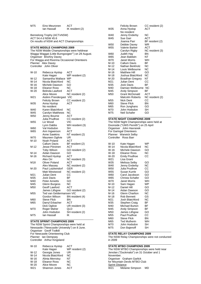| M75    | Eino Meuronen<br>lan Hassall                                                     | ACT<br>IK resident (2)                           | W35            |
|--------|----------------------------------------------------------------------------------|--------------------------------------------------|----------------|
|        | Bennelong Trophy (ACTvNSW)<br>ACT 54.4 d NSW 45.6                                |                                                  | W40<br>W45     |
|        | On results of NSW and ACT Championships                                          |                                                  |                |
|        |                                                                                  |                                                  | W50            |
|        | <b>STATE MIDDLE CHAMPIONS 2009</b><br>The NSW Middle Championships were heldnear |                                                  | W55            |
|        |                                                                                  | Wagga Waggat (Little Burngoogee"") on 29 August. | W60            |
|        | Organiser Briohny Davey                                                          |                                                  | W65            |
|        | For Wagga and Riverina Occasional Orienteers                                     |                                                  | W70            |
|        | Planner Alex Davey                                                               |                                                  | $M-10$         |
|        | Controller John Oliver                                                           |                                                  | M-12           |
|        |                                                                                  |                                                  | $M-14$         |
| $W-10$ | Rebecca Hyslop                                                                   | ACT                                              | M-16           |
|        | Kate Hagan                                                                       | WP resident (2)                                  | M-18           |
| W-12   | Samantha Wallace WP                                                              |                                                  | M-20           |
| $W-14$ | Nicola Blatchford                                                                | ΝC                                               | M21            |
| W-16   | Michele Dawson                                                                   | GO                                               | M35            |
| W-18   | Eleanor Ross                                                                     | ΝC                                               | M40            |
| $W-20$ | Belinda Lawford                                                                  | ACT                                              | M45            |
|        | Alice Moore                                                                      | NC resident (2)                                  | M50            |
| W21    | Aislinn Prendergast VIC<br><b>Felicity Brown</b>                                 | CC resident (2)                                  | M55            |
| W35    | Anna Hyslop                                                                      | ACT                                              | M60            |
|        | No resident                                                                      |                                                  | M65            |
| W40    | Karen Blatchford                                                                 | ΝC                                               | M70            |
| W45    | Carolyn Matthews                                                                 | NC                                               | M75            |
| W50    | Jenny Bourne                                                                     | ACT                                              |                |
|        | Julia Prudhoe                                                                    | CC resident (2)                                  | <b>STATE M</b> |
| W55    | Liz Wood                                                                         | VIC                                              | The NSV        |
|        | Lynn Dabbs                                                                       | WH resident (3)                                  | Doonside       |
| W60    | Val Hodsdon                                                                      | SН                                               | Organise       |
| W65    | Ann Ingwerson                                                                    | ACT                                              | For Garir      |
|        | Anne Sawkins                                                                     | NT resident (2)                                  | Planner        |
| W70    | Maureen Ogilvie                                                                  | UR                                               | Controlle      |
| M-10   | Noah Poland<br>Callum Davis                                                      | ACT<br>BF resident (2)                           | $W-10$         |
| M-12   | Jesse Piiroinen                                                                  | ACT                                              | W-14           |
|        | <b>Toby Wilson</b>                                                               | GO resident (2)                                  | W-16           |
| M-14   | Aidan Dawson                                                                     | GO.                                              | W-18           |
| M-16   | Richard Hyslop                                                                   | <b>ACT</b>                                       | $W-20$         |
|        | Alex Orr                                                                         | NC resident (3)                                  | W21            |
| M18    | Oliver Poland                                                                    | ACT                                              | W35            |
|        | Alex Massey                                                                      | NC resident (2)                                  | W40            |
| $M-20$ | Paul Lutzkendorf                                                                 | GER                                              | W50            |
|        | Matt Westwood                                                                    | NC resident (2)                                  | W55            |
| M21    | Julian Dent                                                                      | CC.                                              | W60            |
| M35    | Jock Davis                                                                       | ΒF                                               | W65            |
| M40    | <b>Peter Annetts</b>                                                             | GO                                               | W70            |
| M45    | Glenn Burgess<br>Geoff Lawford                                                   | <b>NC</b><br>ACT                                 | M-10<br>M-12   |
| M50    | James Lithgow                                                                    | GO resident (2)                                  | M-14           |
| M55    | Ted van Geldermansen VIC                                                         |                                                  | M-16           |
|        | Gordon Wilson                                                                    | BN resident (4)                                  | M-18           |
| M60    | <b>Steve Flick</b>                                                               | BN                                               | M21            |
| M65    | Darryl Erbacher                                                                  | ACT                                              | M35            |
|        | Dick Ogilvie                                                                     | UR resident (3)                                  | M40            |
| M70    | Roger Maher                                                                      | QLD                                              | M45            |
|        | John Hodsdon                                                                     | SH resident (2)                                  | M50            |
| M75    | lan Hassall                                                                      | ΙK                                               | M55            |
|        |                                                                                  |                                                  | M60            |

### **STATE SPRINT CHAMPIONS 2009**

The NSW Sprint Championships were held at Newsastle ("Newcastle University") on 8 June. Organiser Geoff Todkill For Newcastle Orienteering Club Planner Ian Dempsey Controller Arthur Kingsland

| $W-10$          | Rebecca Hyslop      | ACT             |
|-----------------|---------------------|-----------------|
|                 | Kate Hagan          | WP resident (2) |
| $W-12$          | Georgia Jones       | UR              |
| $W-14$          | Nicola Blatchford   | ΝC              |
| $W-16$          | Alinta Merrotsy     | NT              |
| $W-18$          | <b>Eleanor Ross</b> | ΝC              |
| $W-20$          | Alice Moore         | ΝC              |
| W <sub>21</sub> | Shannon Jones       | ACT             |

| W35             | <b>Felicity Brown</b><br>Anna Hyslop<br>No resident | CC resident (2)<br>ACT |
|-----------------|-----------------------------------------------------|------------------------|
| W40             | Jenny Enderby                                       | ΝC                     |
| W45             | Sue Garr                                            | <b>ACT</b>             |
|                 | Joanna Parr                                         | BF resident (2)        |
| W50             | Debbie Davey                                        | <b>WR</b>              |
| W <sub>55</sub> | Valerie Barker                                      | ACT                    |
|                 | Carolyn Rigby                                       | NC resident (3)        |
| W60             | Judith Hay                                          | ΒN                     |
| W65             | Jean Baldwin                                        | NΤ                     |
| W70             | Janet Morris                                        | WН                     |
| M-10            | Callum Davis                                        | ВF                     |
| $M-12$          | Nathan Berkholz                                     | <b>NC</b>              |
| $M-14$          | Louis Welbourne                                     | ΝC                     |
| M-16            | <b>Matthew Hill</b>                                 | GO                     |
| M-18            | Joshua Blatchford                                   | ΝC                     |
| M-20            | Boadhan Gregory                                     | NT                     |
| M21             | Julian Dent                                         | СC                     |
| M35             | Jock Davis                                          | ΒF                     |
| M40.            | Damian Welbourne                                    | <b>NC</b>              |
| M45             | Andy Simpson                                        | BF                     |
| M50             | <b>Grant McDonald</b>                               | ACT                    |
|                 | Malcolm Roberts                                     | NC resident (2)        |
| M55             | Nick Dent                                           | CС                     |
| M60             | <b>Steve Flick</b>                                  | BN                     |
| M65             | Ron Junghans                                        | GO                     |
| M70             | John Hodsdon                                        | SH                     |
| M75             | Neil Schafer                                        | GO                     |
|                 |                                                     |                        |

### **STATE NIGHT CHAMPIONS 2009**

W Night Championships were held at Doonside ("UWS Penrith") on 25 April Organiser John Havranek ngal Orienteers **Warwick Selby** er Ross Barr

| $W-10$          | Kate Hagan           | WP |
|-----------------|----------------------|----|
| W-14            | Nicola Blatchford    | ΝC |
| W-16            | Michele Dawson       | GO |
| $W-18$          | Eleanor Ross         | ΝC |
| $W-20$          | <b>Emily Prudhoe</b> | СC |
| W <sub>21</sub> | Lisa Grant           |    |
| W35             | Melissa Selby        | GO |
| W40             | Jenny Enderby        | ΝC |
| W50             | Julia Prudhoe        | CС |
| W <sub>55</sub> | Susan Kurrle         | GO |
| W60             | Carol Jacobson       | GO |
| W65             | Christa Schafer      | GO |
| W70             | Janet Morris         | WН |
| M-10            | Sam Hagan            | WP |
| M-12            | Daniel Hill          | GO |
| M-14            | Aidan Dawson         | GO |
| M-16            | Glenn Charlton       | NC |
| M-18            | Rob Bennett          | GS |
| M21             | Josh Blatchford      | NC |
| M35             | Stephen Craig        | ΒF |
| M40             | Michael Burton       | ΒF |
| M45             | Andy Simpson         | ВF |
| M50             | James Lithgow        | GO |
| M55             | Paul Prudhoe         | CС |
| M60             | <b>Steve Flick</b>   | ΒN |
| M65             | <b>Ted Mulherin</b>  | WH |
| M70             | John Hodsdon         | SН |
| M75             | Don Bajenoff         | SН |

#### **STATE RELAY CHAMPIONS 2009**

The NSW Relay Championships were not conducted in 2009 \_\_\_\_\_\_\_\_\_\_\_\_\_\_\_\_\_\_\_\_\_\_\_\_\_\_\_\_\_\_\_\_\_\_\_\_\_\_\_\_\_\_

\_\_\_\_\_\_\_\_\_\_\_\_\_\_\_\_\_\_\_\_\_\_\_\_\_\_\_\_\_\_\_\_\_\_\_\_\_\_\_\_\_\_

# **STATE MTBO CHAMPIONS 2009**

The NSW MTBO Championships were held near Jenolan ("Duckmaloi") on 31 October and 1 November. Organiser Graham Garlick for Mountain Devils MTBO Club Sprint Distance<br>W21 Melar Melanie Simpson MD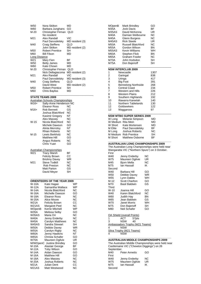| W50           | Nora Skilton           | MD              |
|---------------|------------------------|-----------------|
| W60           | Barbara Junghans       | GO              |
| $M-20$        | Christopher Firman     | QLD             |
|               | No resident            |                 |
| M21           | Alex Randall           | VIC             |
|               | Paul Darvodelsky       | MD resident (3) |
| M40           | Craig Steffens         | QLD             |
|               | John Skilton           | MD resident (2) |
| M50           | <b>Robert Prentice</b> | SН              |
| M60           | Bill Filson            | MD              |
| Long Distance |                        |                 |
| W21           | Mary Fien              | ВF              |
| W50           | <b>Betty James</b>     | MD              |
| W60           | Kate Chown             | MD              |
| M-20          | Christopher Firman     | QLD             |
|               | Nick Dellagiacoma      | MD resident (2) |
| M21           | Alex Randall           | VIC             |
|               | Paul Darvodelsky       | MD resident (3) |
| M40           | <b>Craig Steffens</b>  | QLD             |
|               | David West             | MD resident (2) |
| M50           | <b>Robert Prentice</b> | SН              |
| M60           | Chris Bayliss          | MD              |

\_\_\_\_\_\_\_\_\_\_\_\_\_\_\_\_\_\_\_\_\_\_\_\_\_\_\_\_\_\_\_\_\_\_\_\_\_\_\_\_\_\_

# **STATE TEAMS 2009**

|                 | <b>Australian Schools Championships</b> |           |
|-----------------|-----------------------------------------|-----------|
| W16+            | Sally-Anne Henderson NC                 |           |
|                 | Eleanor Ross                            | ΝC        |
| $M16+$          | Rob Bennett                             | GS        |
|                 | Joshua Blatchford                       | <b>NC</b> |
|                 | Kasimir Gregory                         | NΤ        |
|                 | Alex Massey                             | <b>NC</b> |
| W-15            | Nicola Blatchford                       | ΝC        |
|                 | Michele Dawson                          | GO        |
|                 | Alinta Merrotsy                         | NΤ        |
|                 | Rhian Roberts                           | <b>NC</b> |
| M-15            | Lewis Berkholz                          | ΝC        |
|                 | <b>Matthew Hill</b>                     | GO        |
|                 | Angus Roberts                           | ΝC        |
|                 | Chris Yuan                              | GO        |
|                 | Australian Championships                |           |
| W <sub>21</sub> | <b>Tracy Marsh</b>                      | ΒF        |
|                 | <b>Felicity Brown</b>                   | CС        |
|                 | <b>Briohny Davey</b>                    | <b>WR</b> |
| M21             | <b>Steve Todkill</b>                    | ΝC        |
|                 | Rob Preston                             | ΝC        |
|                 | Matt Parton                             | GS        |
|                 | David Meyer                             | SН        |

### **ORIENTEERS OF THE YEAR 2009**

\_\_\_\_\_\_\_\_\_\_\_\_\_\_\_\_\_\_\_\_\_\_\_\_\_\_\_\_\_\_\_\_\_\_\_\_\_\_\_\_\_\_

| URIENIEERS UF THE TEAR 2009 |                           |    |  |
|-----------------------------|---------------------------|----|--|
| <b>W-10A</b>                | Kate Hagan                | WP |  |
| <b>W-12A</b>                | Samantha Wallace          | WP |  |
| <b>W-14A</b>                | Nicola Blatchford         | ΝC |  |
| <b>W-16A</b>                | Michelle Dawson           | GO |  |
| <b>W-18A</b>                | Eleanor Ross              | ΝC |  |
| <b>W-20A</b>                | Alice Moore               | ΝC |  |
| W21A                        | Felicity Brown            | CС |  |
| <b>W21AS</b>                | Margaret Peel             | NC |  |
| WOpenB                      | Kerrie Mitchell           | WP |  |
| <b>W35A</b>                 | Melissa Selby             | GO |  |
| W35AS                       | Maria Orr                 | ΝC |  |
| <b>W40A</b>                 | Jenny Enderby             | ΝC |  |
| W45A                        | Carolyn Matthews          | ΝC |  |
| W45AS                       | Sandra Stewart            | SН |  |
| <b>W50A</b>                 | Debbie Davey              | WR |  |
| W55A                        | Carolyn Rigby             | ΝC |  |
| <b>W60A</b>                 | Jenny Hawkins             | NT |  |
| <b>W65A</b>                 | Christa Schafer           | GO |  |
| <b>W70A</b>                 | Maureen Ogilvie           | UR |  |
|                             | M/WOpenC Justine Brindley | GO |  |
| M-10A                       | Alastair George           | ВF |  |
| M-12A                       | <b>Toby Wilson</b>        | GO |  |
| M-14A                       | Aidan Dawson              | GO |  |
| M-16A                       | <b>Matthew Hill</b>       | GO |  |
| M-18A                       | Alex Massey               | ΝC |  |
| M-20A                       | Joshua Roberts            | ΝC |  |
| M21A                        | Julian Dent               | CС |  |
| <b>M21AS</b>                | Matt Westwood             | ΝC |  |

| <b>MOpenB</b> | Mark Brindley         | GO |
|---------------|-----------------------|----|
| <b>M35A</b>   | <b>Jock Davis</b>     | ВF |
| <b>M35AS</b>  | David McKenna         | UR |
| <b>M40A</b>   | Damian Welbourne      | ΝC |
| <b>M45A</b>   | Glenn Burgess         | ΝC |
| M45AS         | <b>Rick Steele</b>    | UR |
| <b>M50A</b>   | Russell Blatchford    | ΝC |
| <b>M55A</b>   | Gordon Wilson         | ΒN |
| M55AS         | <b>Kevin Williams</b> | WH |
| M60A          | <b>Stephen Flick</b>  | ΒN |
| <b>M65A</b>   | <b>Graham Fowler</b>  | ΝC |
| M70A          | John Hodsdon          | SН |
| <b>M75A</b>   | Don Bajenoff          | SН |

### **NSW INTERCLUB 2009**

| 1  | Newcastle                  | 1307 |
|----|----------------------------|------|
| 2  | Garingal                   | 838  |
| 3  | Uringa                     | 417  |
| 4  | <b>Big Foot</b>            | 391  |
| 5  | <b>Bennelong Northside</b> | 268  |
| 6  | Central Coast              | 234  |
| 7  | Western and Hills          | 226  |
| 8  | <b>Western Plains</b>      | 212  |
| 9  | Southern Highlands         | 192  |
| 10 | Illawarra Kareelah         | 140  |
| 11 | <b>Northern Tablelands</b> | 130  |
| 12 | Goldseekers                | 122  |
| 13 | Waggaroos                  | 97   |

\_\_\_\_\_\_\_\_\_\_\_\_\_\_\_\_\_\_\_\_\_\_\_\_\_\_\_\_\_\_\_\_\_\_\_\_\_\_\_\_\_\_

### **NSW MTBO SUPER SERIES 2009**

| W Long             | Melanie Simpson        | MD |
|--------------------|------------------------|----|
| W Medium Rita Mein |                        | MD |
| W Short            | Kate Mortensen         | MD |
| M Elite            | Paul Darvodelsky       | ВF |
| M Long             | Joshua Roberts         | ΝC |
| M Medium           | <b>Rob Prentice</b>    | SН |
| M Short            | <b>Matthew Osborne</b> | RF |

### **\_\_\_\_\_\_\_\_\_\_\_\_\_\_\_\_\_\_\_\_\_\_\_\_\_\_\_\_\_\_\_\_\_\_\_\_\_\_\_\_\_\_ AUSTRALIAN LONG CHAMPIONSHIPS 2009**

\_\_\_\_\_\_\_\_\_\_\_\_\_\_\_\_\_\_\_\_\_\_\_\_\_\_\_\_\_\_\_\_\_\_\_\_\_\_\_\_\_\_

The Australian Long Championships were held near Wangaratta VIC ("Northern Spurs") on 3 October.

| First           |                       |    |
|-----------------|-----------------------|----|
| W40             | Jenny Enderby         | ΝC |
| W75             | Maureen Ogilvie       | UR |
| M45             | Bjorn Mella           | ΝC |
| M75             | lan Hassall           | ΙK |
| Second          |                       |    |
| W40             | Barbara Hill          | GO |
| W <sub>50</sub> | Debbie Davey          | WR |
| W <sub>55</sub> | Lynn Dabbs            | WH |
| M-12            | <b>Scott Charlton</b> | GO |
| M70             | Basil Baldwin         | GS |
| Third           |                       |    |
| $W-10$          | Joanna Hill           | GO |
| W40             | Karen Blatchford      | ΝC |
| W60             | Judith Hay            | ΒN |
| W65             | Jean Baldwin          | GS |
| W70             | Janet Morris          | WH |
| M75             | Don Bajenoff          | SН |
| M80             | Neil Schafer          | GO |
|                 |                       |    |

|   | <b>OA Shield (overall Points)</b> |       |  |
|---|-----------------------------------|-------|--|
| 1 | ACT                               | 57pts |  |
| 3 | <b>NSW</b>                        | 40    |  |
|   | Ambassadors Trophy (W21 Teams)    |       |  |
| 4 | <b>NSW</b>                        |       |  |
|   | Silva Trophy (M21 Teams)          |       |  |
| 4 | <b>NSW</b>                        |       |  |

### **\_\_\_\_\_\_\_\_\_\_\_\_\_\_\_\_\_\_\_\_\_\_\_\_\_\_\_\_\_\_\_\_\_\_\_\_\_\_\_\_\_\_ AUSTRALIAN MIDDLE CHAMPIONSHIPS 2009**

The Australian Middle Championships were held near Castlemaine VIC ("Chewton Diggings") on 26 September.<br>M40 Pe Peter Annetts **GO** First<br>W40 W40 Jenny Enderby NC W75 Maureen Ogilvie UR M75 Ian Hassall IK Second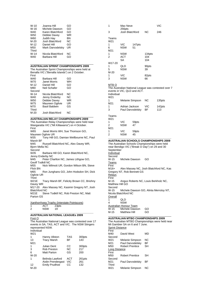| $W-10$          | Joanna Hill       | GO        |
|-----------------|-------------------|-----------|
| $W-16$          | Michele Dawson    | GO        |
| W40             | Karen Blatchford  | GO        |
| W <sub>50</sub> | Debbie Davey      | WR        |
| W60             | <b>Judith Hay</b> | ΒN        |
| $M-20$          | Josh Blatchford   | <b>NC</b> |
| $M-12$          | Daniel Hill       | GO        |
| M50             | Mark Darvodelsky  | UR        |
| <b>Third</b>    |                   |           |
| $W-14$          | Nicola Blatchford | ΝC        |
| W40             | Barbara Hill      | GO        |

### \_\_\_\_\_\_\_\_\_\_\_\_\_\_\_\_\_\_\_\_\_\_\_\_\_\_\_\_\_\_\_\_\_\_\_\_\_\_\_\_\_\_ **AUSTRALIAN SPRINT CHAMPIONSHIPS 2009**

The Australian Sprint Championships were held at Benalla VIC ("Benalla Islands") on 2 October.

| First  |                   |     |  |
|--------|-------------------|-----|--|
| W40    | Barbara Hill      | GO  |  |
| W70    | Janet Morris      | WН  |  |
| M-12   | Daniel Hill       | GO  |  |
| M80    | Neil Schafer      | GO  |  |
| Second |                   |     |  |
| W-14   | Nicola Blatchford | ΝC  |  |
| W40    | Jenny Enderby     | NC. |  |
| W50    | Debbie Davey      | WR  |  |
| W75    | Maureen Ogilvie   | UR  |  |
| M70    | Basil Baldwin     | GS  |  |
| Third  |                   |     |  |
| M-20   | Josh Blatchford   | ΝC  |  |
|        |                   |     |  |

### **AUSTRALIAN RELAY CHAMPIONSHIPS 2009**

The Australian Relay Championships were held near Wangaratta VIC ("Mt Killawarra") on 4 October. First<br>W<sub>65</sub> Janet Morris WH, Sue Thomson GO, Maureen Ogilvie UR

M35 Tony Hill GO, Damian Wellbourne NC, Paul Marsh BF<br>M45

Russell Blatchford NC, Alex Davey WR, Bjorn Mella NC

Second<br>W<sub>35</sub> Barbara Hill GO, Karen Blatchford NC,

Jenny Enderby NC<br>M45 Peter Ch

Peter Charlton NC, James Lithgow GO,

Geoff Todkill NC<br>M55 Nick W Nick Wilmott UR, Gordon Wilson BN, Steve Flick BN<br>M65

Ron Junghans GO, John Hodsdon SH, Dick Ogilvie UR

Third<br>W21E

Tracy Marsh BF, Felicity Brown CC, Briohny Davey WR

M17-20 Alex Massey NC, Kasimir Gregory NT, Josh Blatchford NC<br>M21F Stev

Steve Todkill NC, Rob Preston NC, Matt Parton GS

Xanthorrhoea Trophy (Interstate Pointscore) 1 ACT 23pts

| $\sqrt{2}$<br>╭ | $-1$<br>. | - 1 |
|-----------------|-----------|-----|
|                 |           |     |

### **AUSTRALIAN NATIONAL LEAGUEs 2009** Foot O

The Australian National League was contested over 17 events in SA, TAS, ACT and VIC. The NSW Stingers represented NSW.

Individual W21

|        | Hanny Allston        | <b>TAS</b> | 300pts |
|--------|----------------------|------------|--------|
| 13     | <b>Tracy Marsh</b>   | ВF         | 143    |
| M21    |                      |            |        |
| 1      | Julian Dent          | CС         | 300pts |
| 3      | Rob Preston          | <b>NC</b>  | 217    |
| 6      | Matt Parton          | GS         | 200    |
| $W-20$ |                      |            |        |
| 1      | Belinda Lawford      | ACT        | 261pts |
|        | Aislin Prendergast   | VIC        | 261    |
| 12     | <b>Emily Prudhoe</b> | СC         | 132    |
| $M-20$ |                      |            |        |

| 1                        | Max Neve                  |        |           | VIC |  |
|--------------------------|---------------------------|--------|-----------|-----|--|
| 3                        | 256pts<br>Josh Blatchford |        | <b>NC</b> | 246 |  |
| Teams<br>W <sub>21</sub> |                           |        |           |     |  |
| 1                        | VIC                       | 147pts |           |     |  |
| 6                        | <b>NSW</b>                | 51     |           |     |  |
| M <sub>21</sub>          |                           |        |           |     |  |
| 1                        | <b>NSW</b>                |        | 134pts    |     |  |
| $\overline{2}$           | <b>ACT</b>                |        | 104       |     |  |
|                          | SА                        |        | 104       |     |  |
| W17-20                   |                           |        |           |     |  |
| 1                        | QLD                       |        | 90pts     |     |  |
| 5                        | <b>NSW</b>                |        | 39        |     |  |
| $M-20$                   |                           |        |           |     |  |
| 1                        | VIC                       |        | 82pts     |     |  |
| 3                        | <b>NSW</b>                |        | 66        |     |  |

### MTB O

The Australian National League was contested over 7 events in VIC, QLD and ACT. Individual

 $\overline{M}$ 

| W <sub>21</sub><br>M21 | Melanie Simpson  | NC. | 135pts |
|------------------------|------------------|-----|--------|
| 3                      | Adrian Jackson   | VIC | 142pts |
|                        | Paul Darvodelsky | ВF  | 113    |

 $\overline{T}$ 

| 1 Gd1115<br>W <sub>21</sub> |            |       |  |  |
|-----------------------------|------------|-------|--|--|
| 1                           | VIC        | 59pts |  |  |
| 2                           | <b>NSW</b> | 47    |  |  |
| M21                         |            |       |  |  |
| 1                           | VIC        | 59pts |  |  |
| 2                           | <b>NSW</b> | 45    |  |  |
|                             |            |       |  |  |

## **AUSTRALIAN SCHOOLS CHAMPIONSHIPS 2009**

The Australian Schools Championships were held near Bendigo VIC ("Break O Day") on 29 and 30 September **Individual** Second<br>W-15 Michele Dawson GO **Teams** First<br>M16+ Alex Massey NC, Josh Blatchford NC, Kas Gregory NT, Rob Bennett GS **Relays** First<br>M-15 Angus Roberts NC, Louis Berkholz NC, Matthew Hill GO Second<br>W-15 Michele Dawson GO, Alinta Merrotsy NT, Nicola Blatchford NC **Overall**  $\overline{1}$   $\overline{0}$   $\overline{0}$   $\overline{0}$ 4 NSW Australian Honour Team

W-15 Michele Dawson GO<br>M-15 Matthew Hill GO **Matthew Hill** \_\_\_\_\_\_\_\_\_\_\_\_\_\_\_\_\_\_\_\_\_\_\_\_\_\_\_\_\_\_\_\_\_\_\_\_\_\_\_\_\_\_

# **AUSTRALIAN MTBO CHAMPIONSHIPS 2009**

The Australian MTBO Championships were held near Mt Gambier SA on 6 and 7 June. **Sprint Distance** First<br>M40 David West MD Second W21 Melanie Simpson NC M21 Paul Darvodelsky BF<br>M50 Robert Prentice SH **Robert Prentice** Long Distance First M50 Robert Prentice SH

Second<br>M<sub>21</sub> Paul Darvodelsky BF Third<br>W21 Melanie Simpson NC